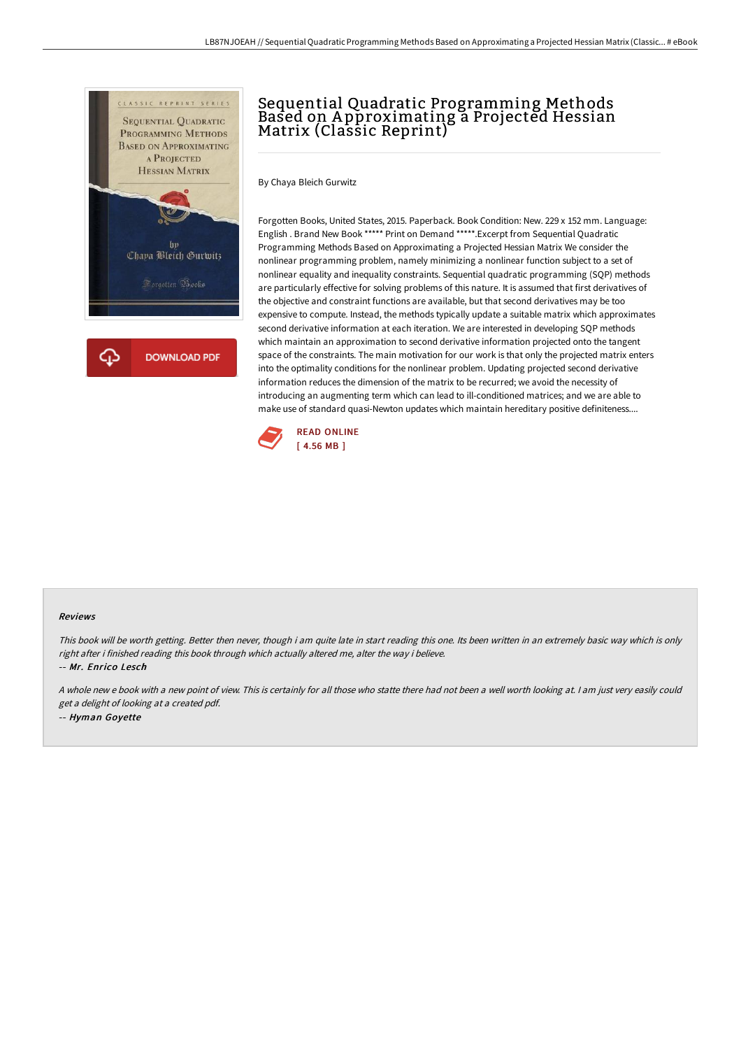

# Sequential Quadratic Programming Methods Based on Approximating a Projected Hessian Matrix (Classic Reprint)

By Chaya Bleich Gurwitz

Forgotten Books, United States, 2015. Paperback. Book Condition: New. 229 x 152 mm. Language: English . Brand New Book \*\*\*\*\* Print on Demand \*\*\*\*\*.Excerpt from Sequential Quadratic Programming Methods Based on Approximating a Projected Hessian Matrix We consider the nonlinear programming problem, namely minimizing a nonlinear function subject to a set of nonlinear equality and inequality constraints. Sequential quadratic programming (SQP) methods are particularly effective for solving problems of this nature. It is assumed that first derivatives of the objective and constraint functions are available, but that second derivatives may be too expensive to compute. Instead, the methods typically update a suitable matrix which approximates second derivative information at each iteration. We are interested in developing SQP methods which maintain an approximation to second derivative information projected onto the tangent space of the constraints. The main motivation for our work is that only the projected matrix enters into the optimality conditions for the nonlinear problem. Updating projected second derivative information reduces the dimension of the matrix to be recurred; we avoid the necessity of introducing an augmenting term which can lead to ill-conditioned matrices; and we are able to make use of standard quasi-Newton updates which maintain hereditary positive definiteness....



#### Reviews

This book will be worth getting. Better then never, though i am quite late in start reading this one. Its been written in an extremely basic way which is only right after i finished reading this book through which actually altered me, alter the way i believe.

-- Mr. Enrico Lesch

<sup>A</sup> whole new <sup>e</sup> book with <sup>a</sup> new point of view. This is certainly for all those who statte there had not been <sup>a</sup> well worth looking at. <sup>I</sup> am just very easily could get <sup>a</sup> delight of looking at <sup>a</sup> created pdf. -- Hyman Goyette